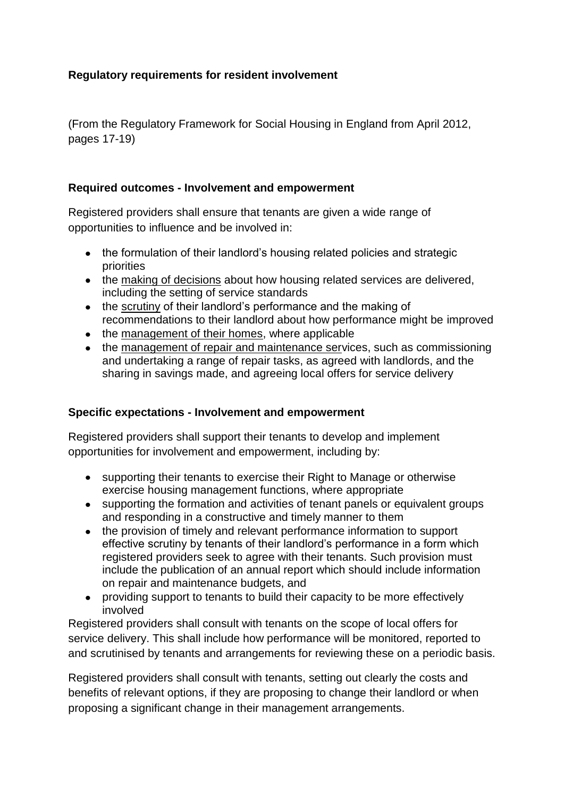## **Regulatory requirements for resident involvement**

(From the Regulatory Framework for Social Housing in England from April 2012, pages 17-19)

## **Required outcomes - Involvement and empowerment**

Registered providers shall ensure that tenants are given a wide range of opportunities to influence and be involved in:

- the formulation of their landlord's housing related policies and strategic priorities
- the making of decisions about how housing related services are delivered, including the setting of service standards
- the scrutiny of their landlord's performance and the making of recommendations to their landlord about how performance might be improved
- the management of their homes, where applicable
- the management of repair and maintenance services, such as commissioning and undertaking a range of repair tasks, as agreed with landlords, and the sharing in savings made, and agreeing local offers for service delivery

## **Specific expectations - Involvement and empowerment**

Registered providers shall support their tenants to develop and implement opportunities for involvement and empowerment, including by:

- supporting their tenants to exercise their Right to Manage or otherwise exercise housing management functions, where appropriate
- supporting the formation and activities of tenant panels or equivalent groups and responding in a constructive and timely manner to them
- the provision of timely and relevant performance information to support effective scrutiny by tenants of their landlord's performance in a form which registered providers seek to agree with their tenants. Such provision must include the publication of an annual report which should include information on repair and maintenance budgets, and
- providing support to tenants to build their capacity to be more effectively involved

Registered providers shall consult with tenants on the scope of local offers for service delivery. This shall include how performance will be monitored, reported to and scrutinised by tenants and arrangements for reviewing these on a periodic basis.

Registered providers shall consult with tenants, setting out clearly the costs and benefits of relevant options, if they are proposing to change their landlord or when proposing a significant change in their management arrangements.